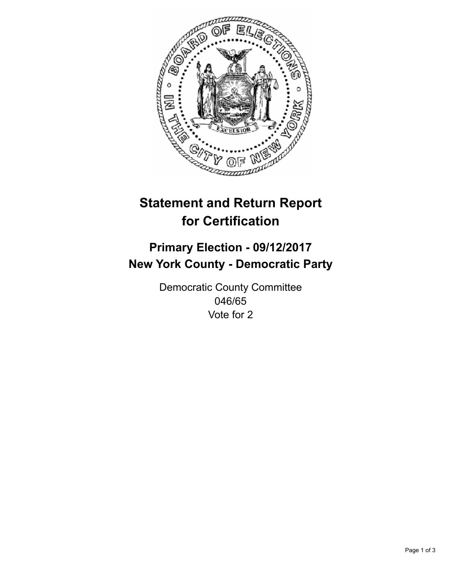

## **Statement and Return Report for Certification**

## **Primary Election - 09/12/2017 New York County - Democratic Party**

Democratic County Committee 046/65 Vote for 2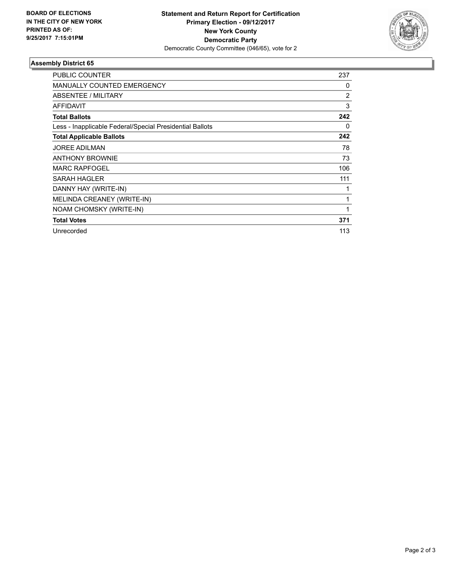

## **Assembly District 65**

| <b>PUBLIC COUNTER</b>                                    | 237            |
|----------------------------------------------------------|----------------|
| <b>MANUALLY COUNTED EMERGENCY</b>                        | 0              |
| ABSENTEE / MILITARY                                      | $\overline{2}$ |
| <b>AFFIDAVIT</b>                                         | 3              |
| <b>Total Ballots</b>                                     | 242            |
| Less - Inapplicable Federal/Special Presidential Ballots | 0              |
| <b>Total Applicable Ballots</b>                          | 242            |
| <b>JOREE ADILMAN</b>                                     | 78             |
| <b>ANTHONY BROWNIE</b>                                   | 73             |
| <b>MARC RAPFOGEL</b>                                     | 106            |
| <b>SARAH HAGLER</b>                                      | 111            |
| DANNY HAY (WRITE-IN)                                     |                |
| MELINDA CREANEY (WRITE-IN)                               | 1              |
| NOAM CHOMSKY (WRITE-IN)                                  | 1              |
| <b>Total Votes</b>                                       | 371            |
| Unrecorded                                               | 113            |